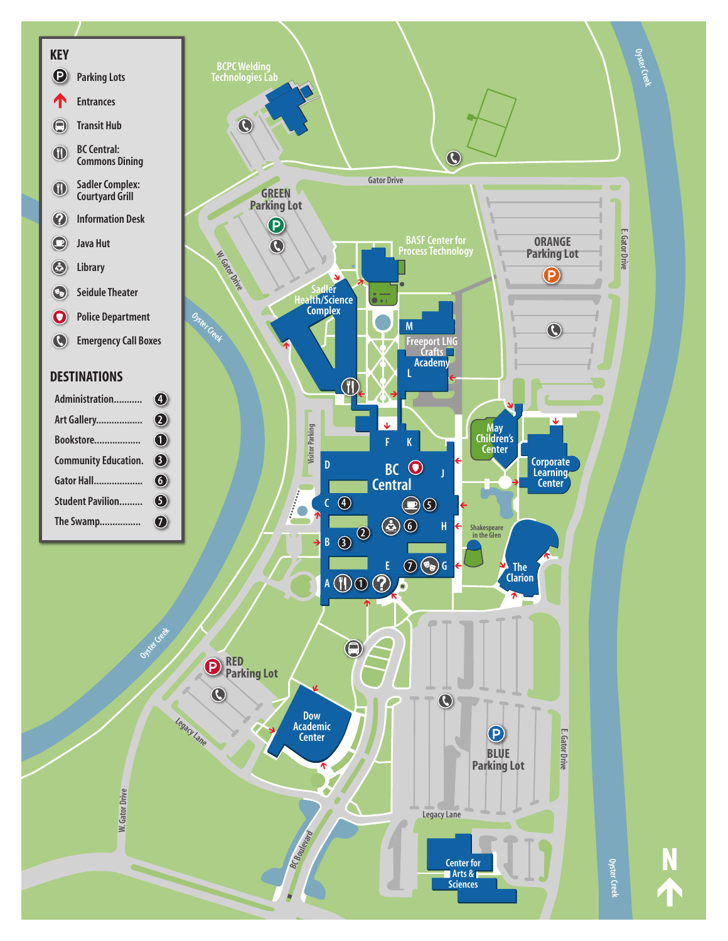